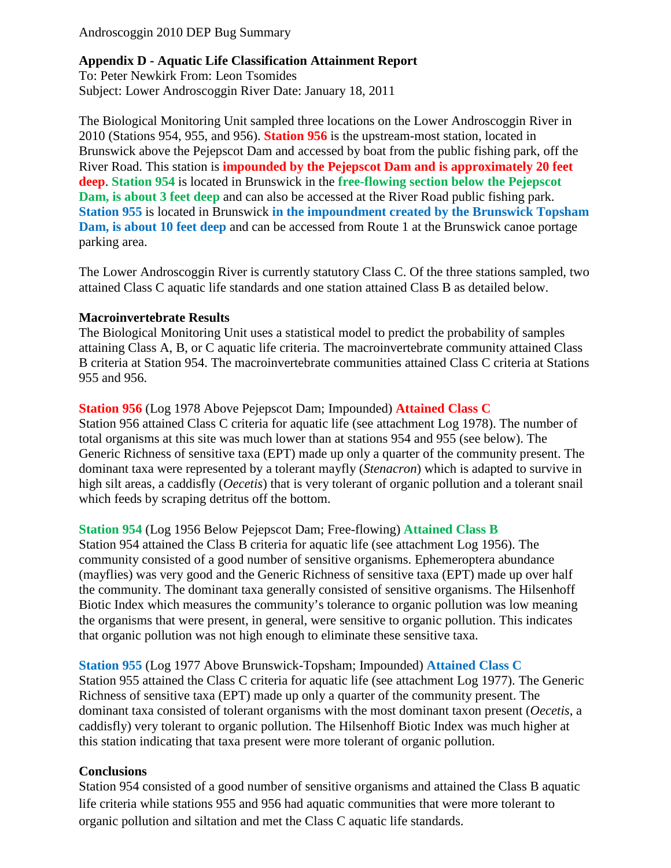Androscoggin 2010 DEP Bug Summary

# **Appendix D - Aquatic Life Classification Attainment Report**

To: Peter Newkirk From: Leon Tsomides Subject: Lower Androscoggin River Date: January 18, 2011

The Biological Monitoring Unit sampled three locations on the Lower Androscoggin River in 2010 (Stations 954, 955, and 956). **Station 956** is the upstream-most station, located in Brunswick above the Pejepscot Dam and accessed by boat from the public fishing park, off the River Road. This station is **impounded by the Pejepscot Dam and is approximately 20 feet deep**. **Station 954** is located in Brunswick in the **free-flowing section below the Pejepscot Dam, is about 3 feet deep** and can also be accessed at the River Road public fishing park. **Station 955** is located in Brunswick **in the impoundment created by the Brunswick Topsham Dam, is about 10 feet deep** and can be accessed from Route 1 at the Brunswick canoe portage parking area.

The Lower Androscoggin River is currently statutory Class C. Of the three stations sampled, two attained Class C aquatic life standards and one station attained Class B as detailed below.

#### **Macroinvertebrate Results**

The Biological Monitoring Unit uses a statistical model to predict the probability of samples attaining Class A, B, or C aquatic life criteria. The macroinvertebrate community attained Class B criteria at Station 954. The macroinvertebrate communities attained Class C criteria at Stations 955 and 956.

# **Station 956** (Log 1978 Above Pejepscot Dam; Impounded) **Attained Class C**

Station 956 attained Class C criteria for aquatic life (see attachment Log 1978). The number of total organisms at this site was much lower than at stations 954 and 955 (see below). The Generic Richness of sensitive taxa (EPT) made up only a quarter of the community present. The dominant taxa were represented by a tolerant mayfly (*Stenacron*) which is adapted to survive in high silt areas, a caddisfly (*Oecetis*) that is very tolerant of organic pollution and a tolerant snail which feeds by scraping detritus off the bottom.

# **Station 954** (Log 1956 Below Pejepscot Dam; Free-flowing) **Attained Class B**

Station 954 attained the Class B criteria for aquatic life (see attachment Log 1956). The community consisted of a good number of sensitive organisms. Ephemeroptera abundance (mayflies) was very good and the Generic Richness of sensitive taxa (EPT) made up over half the community. The dominant taxa generally consisted of sensitive organisms. The Hilsenhoff Biotic Index which measures the community's tolerance to organic pollution was low meaning the organisms that were present, in general, were sensitive to organic pollution. This indicates that organic pollution was not high enough to eliminate these sensitive taxa.

**Station 955** (Log 1977 Above Brunswick-Topsham; Impounded) **Attained Class C**  Station 955 attained the Class C criteria for aquatic life (see attachment Log 1977). The Generic

Richness of sensitive taxa (EPT) made up only a quarter of the community present. The dominant taxa consisted of tolerant organisms with the most dominant taxon present (*Oecetis*, a caddisfly) very tolerant to organic pollution. The Hilsenhoff Biotic Index was much higher at this station indicating that taxa present were more tolerant of organic pollution.

#### **Conclusions**

Station 954 consisted of a good number of sensitive organisms and attained the Class B aquatic life criteria while stations 955 and 956 had aquatic communities that were more tolerant to organic pollution and siltation and met the Class C aquatic life standards.